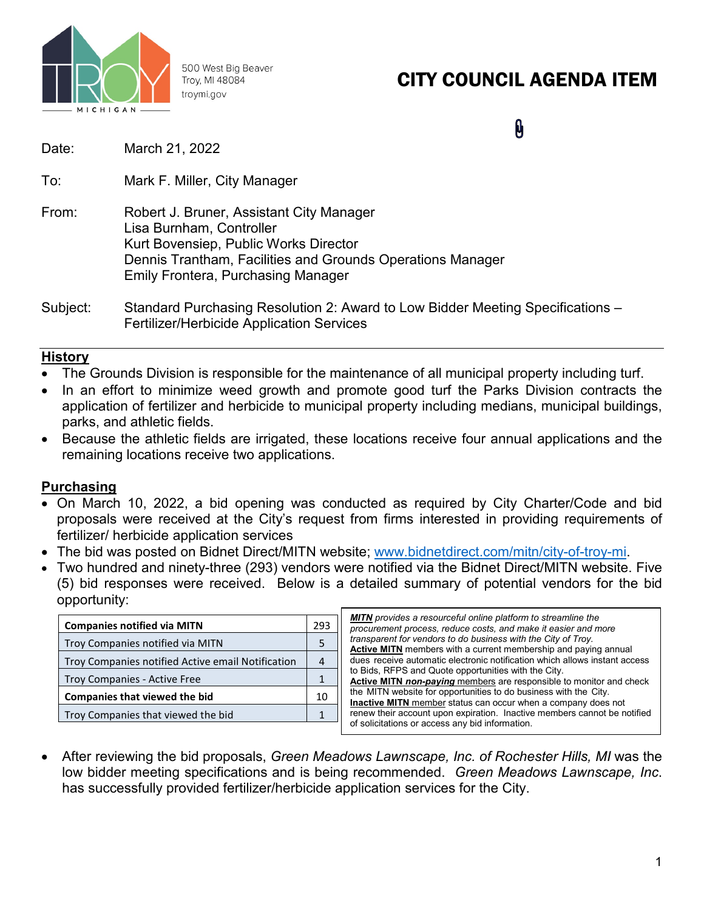

500 West Big Beaver Troy, MI 48084 troymi.gov

# CITY COUNCIL AGENDA ITEM

0

- Date: March 21, 2022
- To: Mark F. Miller, City Manager
- From: Robert J. Bruner, Assistant City Manager Lisa Burnham, Controller Kurt Bovensiep, Public Works Director Dennis Trantham, Facilities and Grounds Operations Manager Emily Frontera, Purchasing Manager
- Subject: Standard Purchasing Resolution 2: Award to Low Bidder Meeting Specifications Fertilizer/Herbicide Application Services

## **History**

- The Grounds Division is responsible for the maintenance of all municipal property including turf.
- In an effort to minimize weed growth and promote good turf the Parks Division contracts the application of fertilizer and herbicide to municipal property including medians, municipal buildings, parks, and athletic fields.
- Because the athletic fields are irrigated, these locations receive four annual applications and the remaining locations receive two applications.

## **Purchasing**

- On March 10, 2022, a bid opening was conducted as required by City Charter/Code and bid proposals were received at the City's request from firms interested in providing requirements of fertilizer/ herbicide application services
- The bid was posted on Bidnet Direct/MITN website; [www.bidnetdirect.com/mitn/city-of-troy-mi.](http://www.bidnetdirect.com/mitn/city-of-troy-mi)
- Two hundred and ninety-three (293) vendors were notified via the Bidnet Direct/MITN website. Five (5) bid responses were received. Below is a detailed summary of potential vendors for the bid opportunity:

| <b>Companies notified via MITN</b>                | 293 |
|---------------------------------------------------|-----|
| Troy Companies notified via MITN                  | 5   |
| Troy Companies notified Active email Notification |     |
| Troy Companies - Active Free                      |     |
| <b>Companies that viewed the bid</b>              | 10  |
| Troy Companies that viewed the bid                |     |

| <b>MITN</b> provides a resourceful online platform to streamline the       |
|----------------------------------------------------------------------------|
| procurement process, reduce costs, and make it easier and more             |
| transparent for vendors to do business with the City of Troy.              |
| Active MITN members with a current membership and paying annual            |
| dues receive automatic electronic notification which allows instant access |
| to Bids, RFPS and Quote opportunities with the City.                       |
| <b>Active MITN non-paying</b> members are responsible to monitor and check |
| the MITN website for opportunities to do business with the City.           |
| <b>Inactive MITN</b> member status can occur when a company does not       |
| renew their account upon expiration. Inactive members cannot be notified   |
| of solicitations or access any bid information.                            |
|                                                                            |

• After reviewing the bid proposals, *Green Meadows Lawnscape, Inc. of Rochester Hills, MI* was the low bidder meeting specifications and is being recommended. *Green Meadows Lawnscape, Inc*. has successfully provided fertilizer/herbicide application services for the City.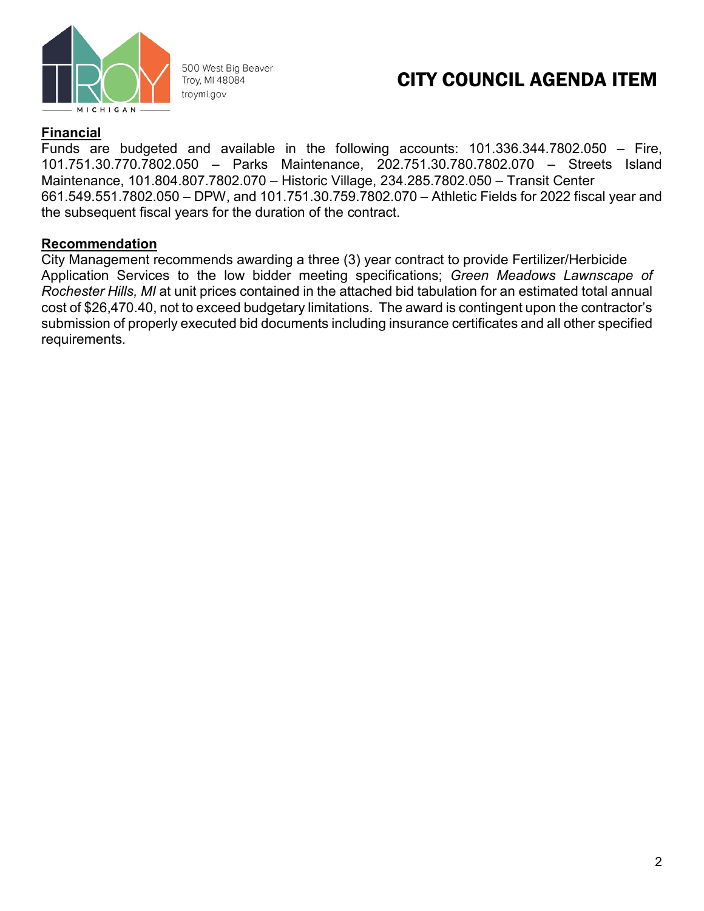

500 West Big Beaver Troy, MI 48084 troymi.gov

# CITY COUNCIL AGENDA ITEM

## **Financial**

Funds are budgeted and available in the following accounts: 101.336.344.7802.050 – Fire, 101.751.30.770.7802.050 – Parks Maintenance, 202.751.30.780.7802.070 – Streets Island Maintenance, 101.804.807.7802.070 – Historic Village, 234.285.7802.050 – Transit Center 661.549.551.7802.050 – DPW, and 101.751.30.759.7802.070 – Athletic Fields for 2022 fiscal year and the subsequent fiscal years for the duration of the contract.

### **Recommendation**

City Management recommends awarding a three (3) year contract to provide Fertilizer/Herbicide Application Services to the low bidder meeting specifications; *Green Meadows Lawnscape of Rochester Hills, MI* at unit prices contained in the attached bid tabulation for an estimated total annual cost of \$26,470.40, not to exceed budgetary limitations. The award is contingent upon the contractor's submission of properly executed bid documents including insurance certificates and all other specified requirements.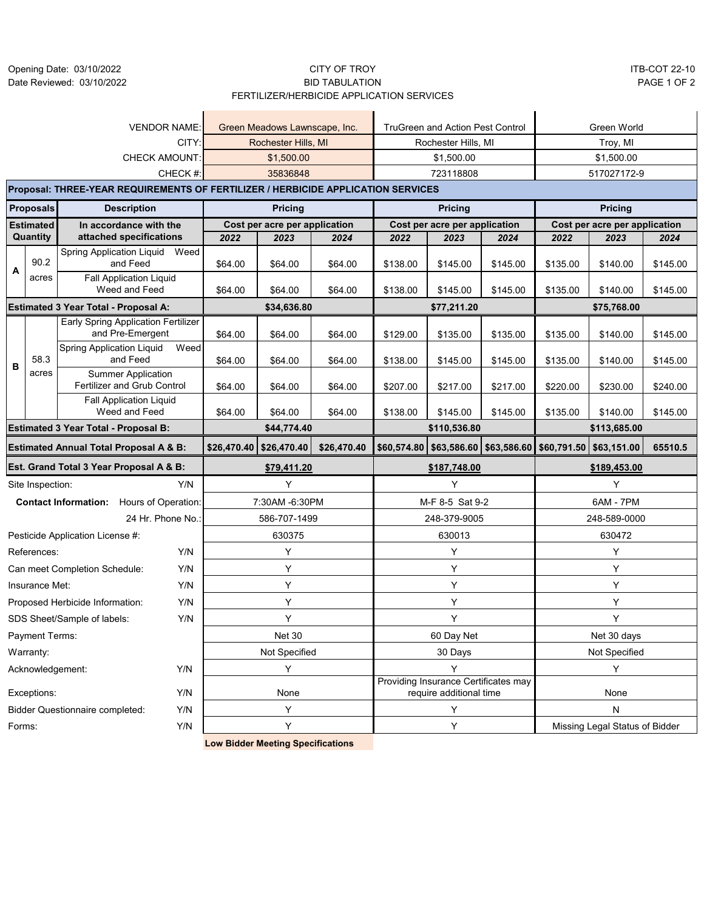Opening Date: 03/10/2022 Date Reviewed: 03/10/2022

#### CITY OF TROY ITB-COT 22-10 BID TABULATION PAGE 1 OF 2 FERTILIZER/HERBICIDE APPLICATION SERVICES

|                                        |                  |                                                                                  | <b>VENDOR NAME:</b> |             | Green Meadows Lawnscape, Inc. |             |          | <b>TruGreen and Action Pest Control</b>                         |          |          | Green World                   |          |
|----------------------------------------|------------------|----------------------------------------------------------------------------------|---------------------|-------------|-------------------------------|-------------|----------|-----------------------------------------------------------------|----------|----------|-------------------------------|----------|
|                                        |                  |                                                                                  | CITY:               |             | Rochester Hills, MI           |             |          | Rochester Hills, MI                                             |          |          | Troy, MI                      |          |
|                                        |                  | <b>CHECK AMOUNT</b>                                                              |                     |             | \$1,500.00                    |             |          | \$1,500.00                                                      |          |          | \$1,500.00                    |          |
|                                        |                  |                                                                                  | CHECK #:            |             | 35836848                      |             |          | 723118808                                                       |          |          | 517027172-9                   |          |
|                                        |                  | Proposal: THREE-YEAR REQUIREMENTS OF FERTILIZER / HERBICIDE APPLICATION SERVICES |                     |             |                               |             |          |                                                                 |          |          |                               |          |
|                                        | <b>Proposals</b> | <b>Description</b>                                                               |                     |             | <b>Pricing</b>                |             |          | <b>Pricing</b>                                                  |          |          | <b>Pricing</b>                |          |
|                                        | <b>Estimated</b> | In accordance with the                                                           |                     |             | Cost per acre per application |             |          | Cost per acre per application                                   |          |          | Cost per acre per application |          |
|                                        | Quantity         | attached specifications                                                          |                     | 2022        | 2023                          | 2024        | 2022     | 2023                                                            | 2024     | 2022     | 2023                          | 2024     |
| A                                      | 90.2             | Spring Application Liquid Weed<br>and Feed                                       |                     | \$64.00     | \$64.00                       | \$64.00     | \$138.00 | \$145.00                                                        | \$145.00 | \$135.00 | \$140.00                      | \$145.00 |
|                                        | acres            | <b>Fall Application Liquid</b><br>Weed and Feed                                  |                     | \$64.00     | \$64.00                       | \$64.00     | \$138.00 | \$145.00                                                        | \$145.00 | \$135.00 | \$140.00                      | \$145.00 |
|                                        |                  | Estimated 3 Year Total - Proposal A:                                             |                     |             | \$34,636.80                   |             |          | \$77,211.20                                                     |          |          | \$75,768.00                   |          |
|                                        |                  | <b>Early Spring Application Fertilizer</b><br>and Pre-Emergent                   |                     | \$64.00     | \$64.00                       | \$64.00     | \$129.00 | \$135.00                                                        | \$135.00 | \$135.00 | \$140.00                      | \$145.00 |
| B                                      | 58.3             | <b>Spring Application Liquid</b><br>and Feed                                     | Weed                | \$64.00     | \$64.00                       | \$64.00     | \$138.00 | \$145.00                                                        | \$145.00 | \$135.00 | \$140.00                      | \$145.00 |
|                                        | acres            | <b>Summer Application</b><br>Fertilizer and Grub Control                         |                     | \$64.00     | \$64.00                       | \$64.00     | \$207.00 | \$217.00                                                        | \$217.00 | \$220.00 | \$230.00                      | \$240.00 |
|                                        |                  | <b>Fall Application Liquid</b><br>Weed and Feed                                  |                     | \$64.00     | \$64.00                       | \$64.00     | \$138.00 | \$145.00                                                        | \$145.00 | \$135.00 | \$140.00                      | \$145.00 |
|                                        |                  | <b>Estimated 3 Year Total - Proposal B:</b>                                      |                     |             | \$44,774.40                   |             |          | \$110,536.80                                                    |          |          | \$113,685.00                  |          |
|                                        |                  | <b>Estimated Annual Total Proposal A &amp; B:</b>                                |                     | \$26,470.40 | \$26,470.40                   | \$26,470.40 |          | \$60,574.80 \$63,586.60 \$63,586.60 \$60,791.50 \$63,151.00     |          |          |                               | 65510.5  |
|                                        |                  | Est. Grand Total 3 Year Proposal A & B:                                          |                     |             | \$79,411.20                   |             |          | \$187,748.00                                                    |          |          | \$189,453.00                  |          |
|                                        | Site Inspection: |                                                                                  | Y/N                 |             | Y                             |             |          | Y                                                               |          |          | Y                             |          |
|                                        |                  | <b>Contact Information:</b> Hours of Operation:                                  |                     |             | 7:30AM -6:30PM                |             |          | M-F 8-5 Sat 9-2                                                 |          |          | 6AM - 7PM                     |          |
|                                        |                  |                                                                                  | 24 Hr. Phone No.:   |             | 586-707-1499                  |             |          | 248-379-9005                                                    |          |          | 248-589-0000                  |          |
|                                        |                  | Pesticide Application License #:                                                 |                     |             | 630375                        |             |          | 630013                                                          |          |          | 630472                        |          |
|                                        | References:      |                                                                                  | Y/N                 |             | Υ                             |             |          | Υ                                                               |          |          | Y                             |          |
|                                        |                  | Can meet Completion Schedule:                                                    | Y/N                 |             | Υ                             |             |          | Υ                                                               |          |          | Υ                             |          |
|                                        | Insurance Met:   |                                                                                  | Y/N                 |             | Υ                             |             |          | Υ                                                               |          |          | Υ                             |          |
| Y/N<br>Proposed Herbicide Information: |                  |                                                                                  | Y                   |             |                               | Υ           |          |                                                                 | Y        |          |                               |          |
|                                        |                  | SDS Sheet/Sample of labels:                                                      | Y/N                 |             | Υ                             |             |          | Υ                                                               |          |          | Υ                             |          |
|                                        | Payment Terms:   |                                                                                  |                     |             | Net 30                        |             |          | 60 Day Net                                                      |          |          | Net 30 days                   |          |
|                                        | Warranty:        |                                                                                  |                     |             | Not Specified                 |             |          | 30 Days                                                         |          |          | Not Specified                 |          |
|                                        | Acknowledgement: |                                                                                  | Y/N                 |             | Y                             |             |          | Υ                                                               |          |          | Y                             |          |
|                                        | Exceptions:      |                                                                                  | Y/N                 |             | None                          |             |          | Providing Insurance Certificates may<br>require additional time |          |          | None                          |          |
|                                        |                  |                                                                                  |                     |             |                               |             |          |                                                                 |          |          |                               |          |
|                                        |                  | <b>Bidder Questionnaire completed:</b>                                           | Y/N                 |             | Υ                             |             |          | Υ                                                               |          |          | Ν                             |          |

**Low Bidder Meeting Specifications**